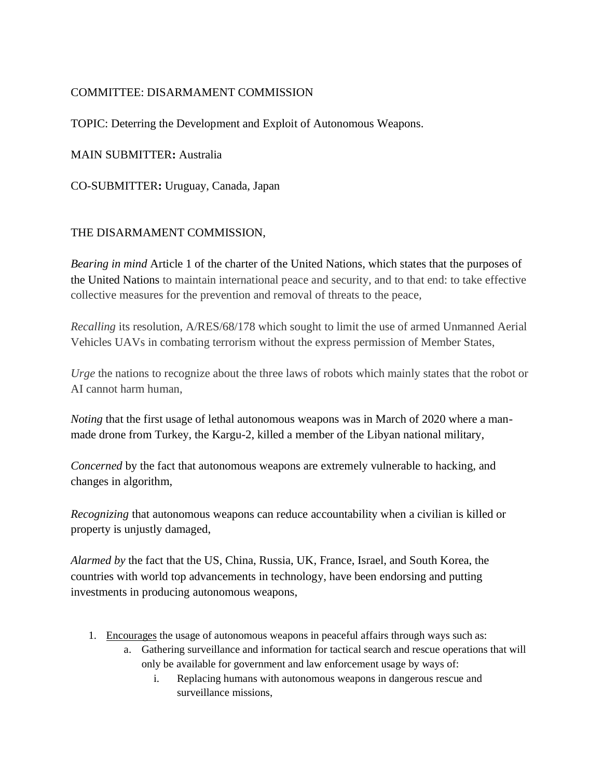## COMMITTEE: DISARMAMENT COMMISSION

TOPIC: Deterring the Development and Exploit of Autonomous Weapons.

MAIN SUBMITTER**:** Australia

CO-SUBMITTER**:** Uruguay, Canada, Japan

## THE DISARMAMENT COMMISSION,

*Bearing in mind* Article 1 of the charter of the United Nations, which states that the purposes of the United Nations to maintain international peace and security, and to that end: to take effective collective measures for the prevention and removal of threats to the peace*,*

*Recalling* its resolution, A/RES/68/178 which sought to limit the use of armed Unmanned Aerial Vehicles UAVs in combating terrorism without the express permission of Member States,

*Urge* the nations to recognize about the three laws of robots which mainly states that the robot or AI cannot harm human,

*Noting* that the first usage of lethal autonomous weapons was in March of 2020 where a manmade drone from Turkey, the Kargu-2, killed a member of the Libyan national military,

*Concerned* by the fact that autonomous weapons are extremely vulnerable to hacking, and changes in algorithm,

*Recognizing* that autonomous weapons can reduce accountability when a civilian is killed or property is unjustly damaged,

*Alarmed by* the fact that the US, China, Russia, UK, France, Israel, and South Korea, the countries with world top advancements in technology, have been endorsing and putting investments in producing autonomous weapons,

- 1. Encourages the usage of autonomous weapons in peaceful affairs through ways such as:
	- a. Gathering surveillance and information for tactical search and rescue operations that will only be available for government and law enforcement usage by ways of:
		- i. Replacing humans with autonomous weapons in dangerous rescue and surveillance missions,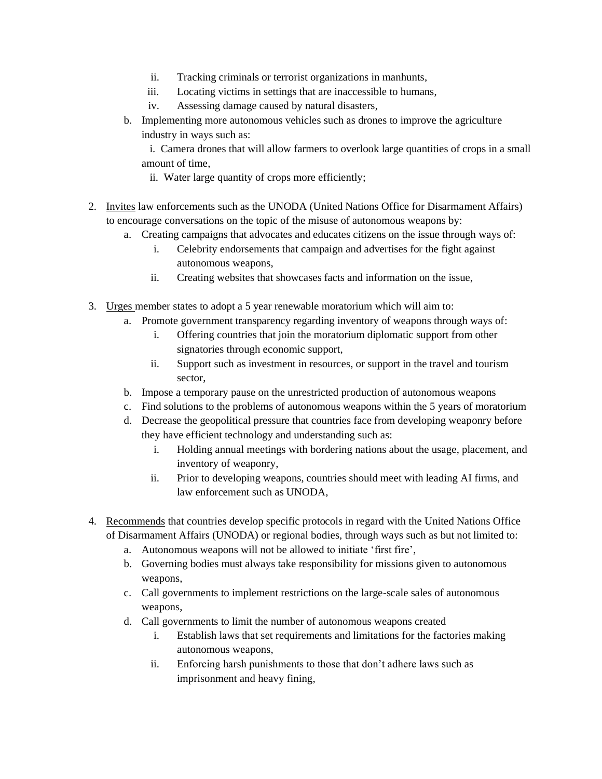- ii. Tracking criminals or terrorist organizations in manhunts,
- iii. Locating victims in settings that are inaccessible to humans,
- iv. Assessing damage caused by natural disasters,
- b. Implementing more autonomous vehicles such as drones to improve the agriculture industry in ways such as:

 i. Camera drones that will allow farmers to overlook large quantities of crops in a small amount of time,

- ii. Water large quantity of crops more efficiently;
- 2. Invites law enforcements such as the UNODA (United Nations Office for Disarmament Affairs) to encourage conversations on the topic of the misuse of autonomous weapons by:
	- a. Creating campaigns that advocates and educates citizens on the issue through ways of:
		- i. Celebrity endorsements that campaign and advertises for the fight against autonomous weapons,
		- ii. Creating websites that showcases facts and information on the issue,
- 3. Urges member states to adopt a 5 year renewable moratorium which will aim to:
	- a. Promote government transparency regarding inventory of weapons through ways of:
		- i. Offering countries that join the moratorium diplomatic support from other signatories through economic support,
		- ii. Support such as investment in resources, or support in the travel and tourism sector,
	- b. Impose a temporary pause on the unrestricted production of autonomous weapons
	- c. Find solutions to the problems of autonomous weapons within the 5 years of moratorium
	- d. Decrease the geopolitical pressure that countries face from developing weaponry before they have efficient technology and understanding such as:
		- i. Holding annual meetings with bordering nations about the usage, placement, and inventory of weaponry,
		- ii. Prior to developing weapons, countries should meet with leading AI firms, and law enforcement such as UNODA,
- 4. Recommends that countries develop specific protocols in regard with the United Nations Office of Disarmament Affairs (UNODA) or regional bodies, through ways such as but not limited to:
	- a. Autonomous weapons will not be allowed to initiate 'first fire',
	- b. Governing bodies must always take responsibility for missions given to autonomous weapons,
	- c. Call governments to implement restrictions on the large-scale sales of autonomous weapons,
	- d. Call governments to limit the number of autonomous weapons created
		- i. Establish laws that set requirements and limitations for the factories making autonomous weapons,
		- ii. Enforcing harsh punishments to those that don't adhere laws such as imprisonment and heavy fining,